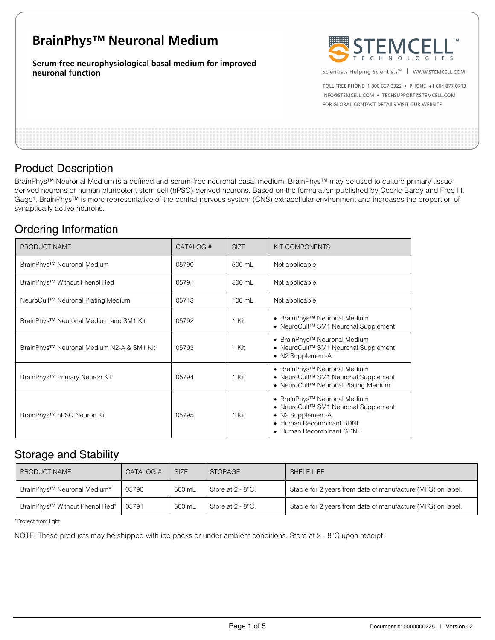# **BrainPhys™ Neuronal Medium**

**Serum-free neurophysiological basal medium for improved neuronal function** 



Scientists Helping Scientists<sup>™</sup> | WWW.STEMCELL.COM

TOLL FREE PHONE 1 800 667 0322 . PHONE +1 604 877 0713 INFO@STEMCELL.COM . TECHSUPPORT@STEMCELL.COM FOR GLOBAL CONTACT DETAILS VISIT OUR WEBSITE

## Product Description

BrainPhys™ Neuronal Medium is a defined and serum-free neuronal basal medium. BrainPhys™ may be used to culture primary tissuederived neurons or human pluripotent stem cell (hPSC)-derived neurons. Based on the formulation published by Cedric Bardy and Fred H. Gage<sup>1</sup>, BrainPhys™ is more representative of the central nervous system (CNS) extracellular environment and increases the proportion of synaptically active neurons.

## Ordering Information

| PRODUCT NAME                              | CATALOG # | <b>SIZE</b> | <b>KIT COMPONENTS</b>                                                                                                                                                     |
|-------------------------------------------|-----------|-------------|---------------------------------------------------------------------------------------------------------------------------------------------------------------------------|
| BrainPhys <sup>™</sup> Neuronal Medium    | 05790     | 500 mL      | Not applicable.                                                                                                                                                           |
| BrainPhys™ Without Phenol Red             | 05791     | 500 mL      | Not applicable.                                                                                                                                                           |
| NeuroCult™ Neuronal Plating Medium        | 05713     | 100 mL      | Not applicable.                                                                                                                                                           |
| BrainPhys™ Neuronal Medium and SM1 Kit    | 05792     | 1 Kit       | • BrainPhys <sup>™</sup> Neuronal Medium<br>• NeuroCult <sup>™</sup> SM1 Neuronal Supplement                                                                              |
| BrainPhys™ Neuronal Medium N2-A & SM1 Kit | 05793     | 1 Kit       | • BrainPhys <sup>TM</sup> Neuronal Medium<br>• NeuroCult <sup>™</sup> SM1 Neuronal Supplement<br>• N2 Supplement-A                                                        |
| BrainPhys™ Primary Neuron Kit             | 05794     | 1 Kit       | • BrainPhys <sup>™</sup> Neuronal Medium<br>• NeuroCult <sup>™</sup> SM1 Neuronal Supplement<br>• NeuroCult <sup>™</sup> Neuronal Plating Medium                          |
| BrainPhys <sup>™</sup> hPSC Neuron Kit    | 05795     | 1 Kit       | • BrainPhys <sup>™</sup> Neuronal Medium<br>• NeuroCult <sup>™</sup> SM1 Neuronal Supplement<br>• N2 Supplement-A<br>• Human Recombinant BDNF<br>• Human Recombinant GDNF |

## Storage and Stability

| PRODUCT NAME                               | CATALOG # | <b>SIZE</b> | <b>STORAGE</b>    | SHELF LIFE                                                  |
|--------------------------------------------|-----------|-------------|-------------------|-------------------------------------------------------------|
| BrainPhys™ Neuronal Medium*                | 05790     | 500 mL      | Store at 2 - 8°C. | Stable for 2 years from date of manufacture (MFG) on label. |
| BrainPhys <sup>™</sup> Without Phenol Red* | 05791     | 500 mL      | Store at 2 - 8°C. | Stable for 2 years from date of manufacture (MFG) on label. |

\*Protect from light.

NOTE: These products may be shipped with ice packs or under ambient conditions. Store at 2 - 8°C upon receipt.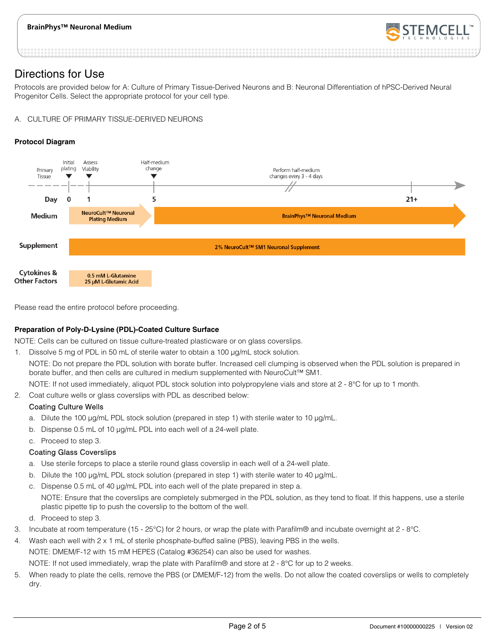

## Directions for Use

Protocols are provided below for A: Culture of Primary Tissue-Derived Neurons and B: Neuronal Differentiation of hPSC-Derived Neural Progenitor Cells. Select the appropriate protocol for your cell type.

### A. CULTURE OF PRIMARY TISSUE-DERIVED NEURONS

### **Protocol Diagram**



Please read the entire protocol before proceeding.

### **Preparation of Poly-D-Lysine (PDL)-Coated Culture Surface**

NOTE: Cells can be cultured on tissue culture-treated plasticware or on glass coverslips.

1. Dissolve 5 mg of PDL in 50 mL of sterile water to obtain a 100 µg/mL stock solution.

NOTE: Do not prepare the PDL solution with borate buffer. Increased cell clumping is observed when the PDL solution is prepared in borate buffer, and then cells are cultured in medium supplemented with NeuroCult™ SM1.

NOTE: If not used immediately, aliquot PDL stock solution into polypropylene vials and store at 2 - 8°C for up to 1 month.

2. Coat culture wells or glass coverslips with PDL as described below:

## Coating Culture Wells

- a. Dilute the 100 μg/mL PDL stock solution (prepared in step 1) with sterile water to 10 μg/mL.
- b. Dispense 0.5 mL of 10 μg/mL PDL into each well of a 24-well plate.
- c. Proceed to step 3.

### Coating Glass Coverslips

- a. Use sterile forceps to place a sterile round glass coverslip in each well of a 24-well plate.
- b. Dilute the 100 μg/mL PDL stock solution (prepared in step 1) with sterile water to 40 μg/mL.
- c. Dispense 0.5 mL of 40 μg/mL PDL into each well of the plate prepared in step a. NOTE: Ensure that the coverslips are completely submerged in the PDL solution, as they tend to float. If this happens, use a sterile plastic pipette tip to push the coverslip to the bottom of the well.
- d. Proceed to step 3.
- 3. Incubate at room temperature (15 25°C) for 2 hours, or wrap the plate with Parafilm® and incubate overnight at 2 8°C.
- 4. Wash each well with 2 x 1 mL of sterile phosphate-buffed saline (PBS), leaving PBS in the wells. NOTE: DMEM/F-12 with 15 mM HEPES (Catalog #36254) can also be used for washes. NOTE: If not used immediately, wrap the plate with Parafilm® and store at 2 - 8°C for up to 2 weeks.
- 5. When ready to plate the cells, remove the PBS (or DMEM/F-12) from the wells. Do not allow the coated coverslips or wells to completely dry.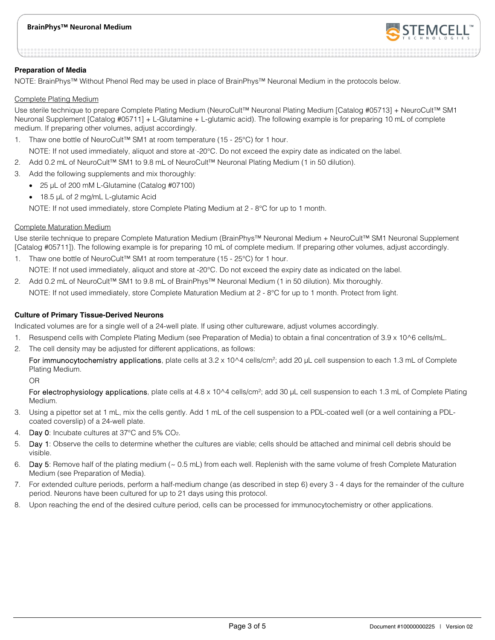

#### **Preparation of Media**

NOTE: BrainPhys™ Without Phenol Red may be used in place of BrainPhys™ Neuronal Medium in the protocols below.

#### Complete Plating Medium

Use sterile technique to prepare Complete Plating Medium (NeuroCult™ Neuronal Plating Medium [Catalog #05713] + NeuroCult™ SM1 Neuronal Supplement [Catalog #05711] + L-Glutamine + L-glutamic acid). The following example is for preparing 10 mL of complete medium. If preparing other volumes, adjust accordingly.

1. Thaw one bottle of NeuroCult™ SM1 at room temperature (15 - 25°C) for 1 hour.

NOTE: If not used immediately, aliquot and store at -20°C. Do not exceed the expiry date as indicated on the label.

- 2. Add 0.2 mL of NeuroCult™ SM1 to 9.8 mL of NeuroCult™ Neuronal Plating Medium (1 in 50 dilution).
- 3. Add the following supplements and mix thoroughly:
	- 25 μL of 200 mM L-Glutamine (Catalog #07100)
	- 18.5 μL of 2 mg/mL L-glutamic Acid

NOTE: If not used immediately, store Complete Plating Medium at 2 - 8°C for up to 1 month.

#### Complete Maturation Medium

Use sterile technique to prepare Complete Maturation Medium (BrainPhys™ Neuronal Medium + NeuroCult™ SM1 Neuronal Supplement [Catalog #05711]). The following example is for preparing 10 mL of complete medium. If preparing other volumes, adjust accordingly.

1. Thaw one bottle of NeuroCult™ SM1 at room temperature (15 - 25°C) for 1 hour.

NOTE: If not used immediately, aliquot and store at -20°C. Do not exceed the expiry date as indicated on the label.

2. Add 0.2 mL of NeuroCult™ SM1 to 9.8 mL of BrainPhys™ Neuronal Medium (1 in 50 dilution). Mix thoroughly. NOTE: If not used immediately, store Complete Maturation Medium at 2 - 8°C for up to 1 month. Protect from light.

#### **Culture of Primary Tissue-Derived Neurons**

Indicated volumes are for a single well of a 24-well plate. If using other cultureware, adjust volumes accordingly.

- 1. Resuspend cells with Complete Plating Medium (see Preparation of Media) to obtain a final concentration of 3.9 x 10^6 cells/mL.
- 2. The cell density may be adjusted for different applications, as follows:

For immunocytochemistry applications, plate cells at 3.2 x 10^4 cells/cm<sup>2</sup>; add 20 μL cell suspension to each 1.3 mL of Complete Plating Medium.

OR

For electrophysiology applications, plate cells at 4.8 x 10^4 cells/cm<sup>2</sup>; add 30 μL cell suspension to each 1.3 mL of Complete Plating Medium.

- 3. Using a pipettor set at 1 mL, mix the cells gently. Add 1 mL of the cell suspension to a PDL-coated well (or a well containing a PDLcoated coverslip) of a 24-well plate.
- Day 0: Incubate cultures at 37°C and 5% CO<sub>2</sub>.
- 5. Day 1: Observe the cells to determine whether the cultures are viable; cells should be attached and minimal cell debris should be visible.
- 6. Day 5: Remove half of the plating medium ( $\sim$  0.5 mL) from each well. Replenish with the same volume of fresh Complete Maturation Medium (see Preparation of Media).
- 7. For extended culture periods, perform a half-medium change (as described in step 6) every 3 4 days for the remainder of the culture period. Neurons have been cultured for up to 21 days using this protocol.
- 8. Upon reaching the end of the desired culture period, cells can be processed for immunocytochemistry or other applications.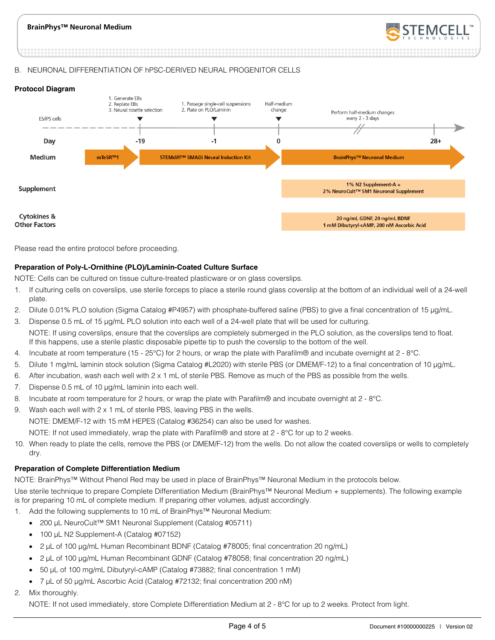

#### B. NEURONAL DIFFERENTIATION OF hPSC-DERIVED NEURAL PROGENITOR CELLS





Please read the entire protocol before proceeding.

#### **Preparation of Poly-L-Ornithine (PLO)/Laminin-Coated Culture Surface**

NOTE: Cells can be cultured on tissue culture-treated plasticware or on glass coverslips.

- 1. If culturing cells on coverslips, use sterile forceps to place a sterile round glass coverslip at the bottom of an individual well of a 24-well plate.
- 2. Dilute 0.01% PLO solution (Sigma Catalog #P4957) with phosphate-buffered saline (PBS) to give a final concentration of 15 μg/mL.
- 3. Dispense 0.5 mL of 15 μg/mL PLO solution into each well of a 24-well plate that will be used for culturing. NOTE: If using coverslips, ensure that the coverslips are completely submerged in the PLO solution, as the coverslips tend to float. If this happens, use a sterile plastic disposable pipette tip to push the coverslip to the bottom of the well.
- 4. Incubate at room temperature (15 25°C) for 2 hours, or wrap the plate with Parafilm® and incubate overnight at  $2 8$ °C.
- 5. Dilute 1 mg/mL laminin stock solution (Sigma Catalog #L2020) with sterile PBS (or DMEM/F-12) to a final concentration of 10 μg/mL.
- 6. After incubation, wash each well with 2 x 1 mL of sterile PBS. Remove as much of the PBS as possible from the wells.
- 7. Dispense 0.5 mL of 10 μg/mL laminin into each well.
- 8. Incubate at room temperature for 2 hours, or wrap the plate with Parafilm® and incubate overnight at 2 8°C.
- 9. Wash each well with 2 x 1 mL of sterile PBS, leaving PBS in the wells. NOTE: DMEM/F-12 with 15 mM HEPES (Catalog #36254) can also be used for washes. NOTE: If not used immediately, wrap the plate with Parafilm® and store at 2 - 8°C for up to 2 weeks.
- 10. When ready to plate the cells, remove the PBS (or DMEM/F-12) from the wells. Do not allow the coated coverslips or wells to completely dry.

#### **Preparation of Complete Differentiation Medium**

NOTE: BrainPhys™ Without Phenol Red may be used in place of BrainPhys™ Neuronal Medium in the protocols below.

Use sterile technique to prepare Complete Differentiation Medium (BrainPhys™ Neuronal Medium + supplements). The following example is for preparing 10 mL of complete medium. If preparing other volumes, adjust accordingly.

- 1. Add the following supplements to 10 mL of BrainPhys™ Neuronal Medium:
	- 200 μL NeuroCult™ SM1 Neuronal Supplement (Catalog #05711)
	- 100 μL N2 Supplement-A (Catalog #07152)
	- 2 μL of 100 μg/mL Human Recombinant BDNF (Catalog #78005; final concentration 20 ng/mL)
	- 2 μL of 100 μg/mL Human Recombinant GDNF (Catalog #78058; final concentration 20 ng/mL)
	- 50 μL of 100 mg/mL Dibutyryl-cAMP (Catalog #73882; final concentration 1 mM)
	- 7 μL of 50 μg/mL Ascorbic Acid (Catalog #72132; final concentration 200 nM)
- Mix thoroughly.

NOTE: If not used immediately, store Complete Differentiation Medium at 2 - 8°C for up to 2 weeks. Protect from light.